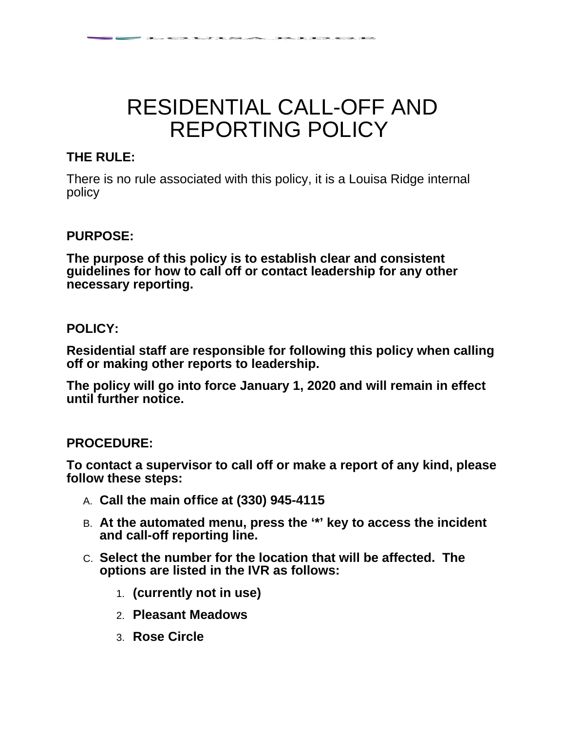# RESIDENTIAL CALL-OFF AND REPORTING POLICY

 $\sim$  5  $\sim$  7  $\sim$  7  $\sim$  7  $\sim$  7  $\sim$  7  $\sim$  7  $\sim$  7  $\sim$  7  $\sim$  7  $\sim$  7  $\sim$  7  $\sim$ 

## **THE RULE:**

There is no rule associated with this policy, it is a Louisa Ridge internal policy

### **PURPOSE:**

**The purpose of this policy is to establish clear and consistent guidelines for how to call off or contact leadership for any other necessary reporting.** 

### **POLICY:**

**Residential staff are responsible for following this policy when calling off or making other reports to leadership.**

**The policy will go into force January 1, 2020 and will remain in effect until further notice.**

#### **PROCEDURE:**

**To contact a supervisor to call off or make a report of any kind, please follow these steps:**

- A. **Call the main office at (330) 945-4115**
- B. **At the automated menu, press the '\*' key to access the incident and call-off reporting line.**
- C. **Select the number for the location that will be affected. The options are listed in the IVR as follows:**
	- 1. **(currently not in use)**
	- 2. **Pleasant Meadows**
	- 3. **Rose Circle**